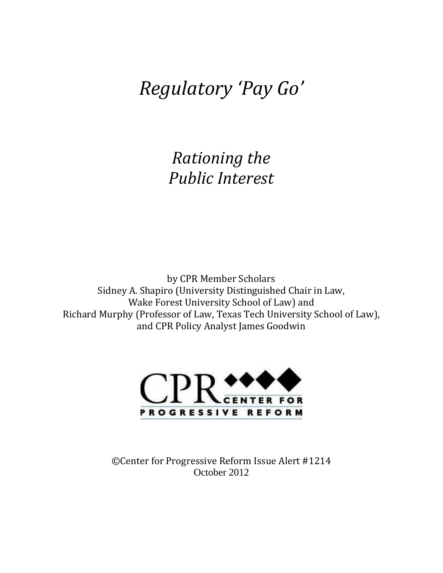# *Regulatory 'Pay Go'*

*Rationing the Public Interest*

by CPR Member Scholars Sidney A. Shapiro (University Distinguished Chair in Law, Wake Forest University School of Law) and Richard Murphy (Professor of Law, Texas Tech University School of Law), and CPR Policy Analyst James Goodwin



©Center for Progressive Reform Issue Alert #1214 October 2012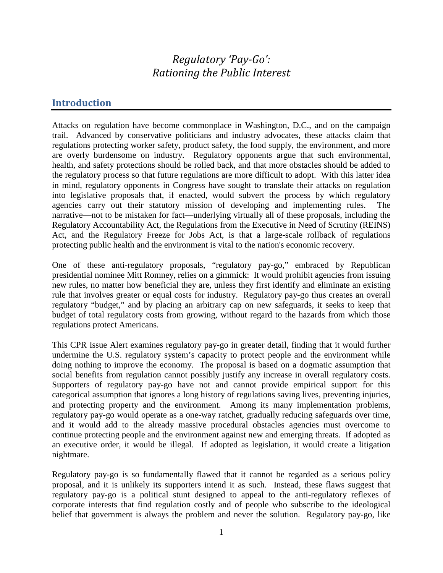# *Regulatory 'Pay-Go': Rationing the Public Interest*

### **Introduction**

Attacks on regulation have become commonplace in Washington, D.C., and on the campaign trail. Advanced by conservative politicians and industry advocates, these attacks claim that regulations protecting worker safety, product safety, the food supply, the environment, and more are overly burdensome on industry. Regulatory opponents argue that such environmental, health, and safety protections should be rolled back, and that more obstacles should be added to the regulatory process so that future regulations are more difficult to adopt. With this latter idea in mind, regulatory opponents in Congress have sought to translate their attacks on regulation into legislative proposals that, if enacted, would subvert the process by which regulatory agencies carry out their statutory mission of developing and implementing rules. The narrative—not to be mistaken for fact—underlying virtually all of these proposals, including the Regulatory Accountability Act, the Regulations from the Executive in Need of Scrutiny (REINS) Act, and the Regulatory Freeze for Jobs Act, is that a large-scale rollback of regulations protecting public health and the environment is vital to the nation's economic recovery.

One of these anti-regulatory proposals, "regulatory pay-go," embraced by Republican presidential nominee Mitt Romney, relies on a gimmick: It would prohibit agencies from issuing new rules, no matter how beneficial they are, unless they first identify and eliminate an existing rule that involves greater or equal costs for industry. Regulatory pay-go thus creates an overall regulatory "budget," and by placing an arbitrary cap on new safeguards, it seeks to keep that budget of total regulatory costs from growing, without regard to the hazards from which those regulations protect Americans.

This CPR Issue Alert examines regulatory pay-go in greater detail, finding that it would further undermine the U.S. regulatory system's capacity to protect people and the environment while doing nothing to improve the economy. The proposal is based on a dogmatic assumption that social benefits from regulation cannot possibly justify any increase in overall regulatory costs. Supporters of regulatory pay-go have not and cannot provide empirical support for this categorical assumption that ignores a long history of regulations saving lives, preventing injuries, and protecting property and the environment. Among its many implementation problems, regulatory pay-go would operate as a one-way ratchet, gradually reducing safeguards over time, and it would add to the already massive procedural obstacles agencies must overcome to continue protecting people and the environment against new and emerging threats. If adopted as an executive order, it would be illegal. If adopted as legislation, it would create a litigation nightmare.

Regulatory pay-go is so fundamentally flawed that it cannot be regarded as a serious policy proposal, and it is unlikely its supporters intend it as such. Instead, these flaws suggest that regulatory pay-go is a political stunt designed to appeal to the anti-regulatory reflexes of corporate interests that find regulation costly and of people who subscribe to the ideological belief that government is always the problem and never the solution. Regulatory pay-go, like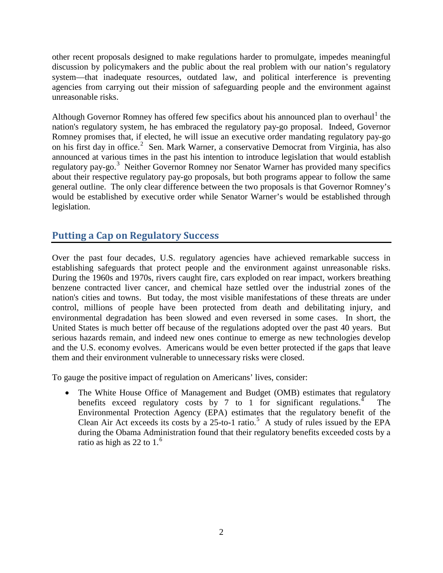other recent proposals designed to make regulations harder to promulgate, impedes meaningful discussion by policymakers and the public about the real problem with our nation's regulatory system—that inadequate resources, outdated law, and political interference is preventing agencies from carrying out their mission of safeguarding people and the environment against unreasonable risks.

Although Governor Romney has offered few specifics about his announced plan to overhaul<sup>[1](#page-13-0)</sup> the nation's regulatory system, he has embraced the regulatory pay-go proposal. Indeed, Governor Romney promises that, if elected, he will issue an executive order mandating regulatory pay-go on his first day in office.<sup>[2](#page-13-1)</sup> Sen. Mark Warner, a conservative Democrat from Virginia, has also announced at various times in the past his intention to introduce legislation that would establish regulatory pay-go.<sup>[3](#page-13-2)</sup> Neither Governor Romney nor Senator Warner has provided many specifics about their respective regulatory pay-go proposals, but both programs appear to follow the same general outline. The only clear difference between the two proposals is that Governor Romney's would be established by executive order while Senator Warner's would be established through legislation.

# **Putting a Cap on Regulatory Success**

Over the past four decades, U.S. regulatory agencies have achieved remarkable success in establishing safeguards that protect people and the environment against unreasonable risks. During the 1960s and 1970s, rivers caught fire, cars exploded on rear impact, workers breathing benzene contracted liver cancer, and chemical haze settled over the industrial zones of the nation's cities and towns. But today, the most visible manifestations of these threats are under control, millions of people have been protected from death and debilitating injury, and environmental degradation has been slowed and even reversed in some cases. In short, the United States is much better off because of the regulations adopted over the past 40 years. But serious hazards remain, and indeed new ones continue to emerge as new technologies develop and the U.S. economy evolves. Americans would be even better protected if the gaps that leave them and their environment vulnerable to unnecessary risks were closed.

To gauge the positive impact of regulation on Americans' lives, consider:

• The White House Office of Management and Budget (OMB) estimates that regulatory benefits exceed regulatory costs by 7 to 1 for significant regulations. The Environmental Protection Agency (EPA) estimates that the regulatory benefit of the Clean Air Act exceeds its costs by a  $25$  $25$ -to-1 ratio.<sup>5</sup> A study of rules issued by the EPA during the Obama Administration found that their regulatory benefits exceeded costs by a ratio as high as 22 to  $1<sup>6</sup>$  $1<sup>6</sup>$  $1<sup>6</sup>$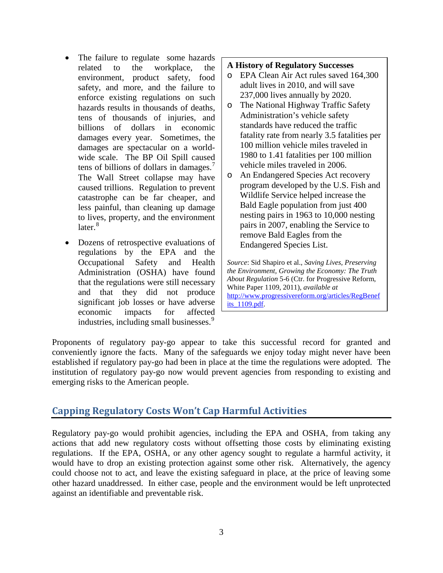- The failure to regulate some hazards related to the workplace, the environment, product safety, food safety, and more, and the failure to enforce existing regulations on such hazards results in thousands of deaths, tens of thousands of injuries, and billions of dollars in economic damages every year. Sometimes, the damages are spectacular on a worldwide scale. The BP Oil Spill caused tens of billions of dollars in damages. $<sup>7</sup>$  $<sup>7</sup>$  $<sup>7</sup>$ </sup> The Wall Street collapse may have caused trillions. Regulation to prevent catastrophe can be far cheaper, and less painful, than cleaning up damage to lives, property, and the environment  $\arctan^8$  $\arctan^8$
- Dozens of retrospective evaluations of regulations by the EPA and the Occupational Safety and Health Administration (OSHA) have found that the regulations were still necessary and that they did not produce significant job losses or have adverse economic impacts for affected industries, including small businesses.<sup>[9](#page-14-2)</sup>

#### **A History of Regulatory Successes**

- o EPA Clean Air Act rules saved 164,300 adult lives in 2010, and will save 237,000 lives annually by 2020.
- o The National Highway Traffic Safety Administration's vehicle safety standards have reduced the traffic fatality rate from nearly 3.5 fatalities per 100 million vehicle miles traveled in 1980 to 1.41 fatalities per 100 million vehicle miles traveled in 2006.
- o An Endangered Species Act recovery program developed by the U.S. Fish and Wildlife Service helped increase the Bald Eagle population from just 400 nesting pairs in 1963 to 10,000 nesting pairs in 2007, enabling the Service to remove Bald Eagles from the Endangered Species List.

*Source*: Sid Shapiro et al., *Saving Lives, Preserving the Environment, Growing the Economy: The Truth About Regulation* 5-6 (Ctr. for Progressive Reform, White Paper 1109, 2011), *available at* [http://www.progressivereform.org/articles/RegBenef](http://www.progressivereform.org/articles/RegBenefits_1109.pdf) [its\\_1109.pdf.](http://www.progressivereform.org/articles/RegBenefits_1109.pdf)

Proponents of regulatory pay-go appear to take this successful record for granted and conveniently ignore the facts. Many of the safeguards we enjoy today might never have been established if regulatory pay-go had been in place at the time the regulations were adopted. The institution of regulatory pay-go now would prevent agencies from responding to existing and emerging risks to the American people.

# **Capping Regulatory Costs Won't Cap Harmful Activities**

Regulatory pay-go would prohibit agencies, including the EPA and OSHA, from taking any actions that add new regulatory costs without offsetting those costs by eliminating existing regulations. If the EPA, OSHA, or any other agency sought to regulate a harmful activity, it would have to drop an existing protection against some other risk. Alternatively, the agency could choose not to act, and leave the existing safeguard in place, at the price of leaving some other hazard unaddressed. In either case, people and the environment would be left unprotected against an identifiable and preventable risk.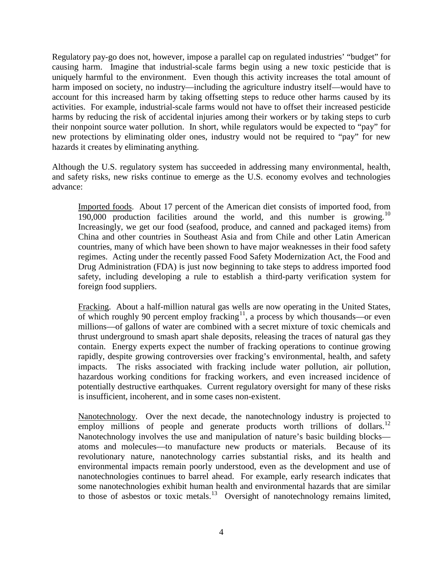Regulatory pay-go does not, however, impose a parallel cap on regulated industries' "budget" for causing harm. Imagine that industrial-scale farms begin using a new toxic pesticide that is uniquely harmful to the environment. Even though this activity increases the total amount of harm imposed on society, no industry—including the agriculture industry itself—would have to account for this increased harm by taking offsetting steps to reduce other harms caused by its activities. For example, industrial-scale farms would not have to offset their increased pesticide harms by reducing the risk of accidental injuries among their workers or by taking steps to curb their nonpoint source water pollution. In short, while regulators would be expected to "pay" for new protections by eliminating older ones, industry would not be required to "pay" for new hazards it creates by eliminating anything.

Although the U.S. regulatory system has succeeded in addressing many environmental, health, and safety risks, new risks continue to emerge as the U.S. economy evolves and technologies advance:

Imported foods. About 17 percent of the American diet consists of imported food, from 190,000 production facilities around the world, and this number is growing.<sup>[10](#page-14-3)</sup> Increasingly, we get our food (seafood, produce, and canned and packaged items) from China and other countries in Southeast Asia and from Chile and other Latin American countries, many of which have been shown to have major weaknesses in their food safety regimes. Acting under the recently passed Food Safety Modernization Act, the Food and Drug Administration (FDA) is just now beginning to take steps to address imported food safety, including developing a rule to establish a third-party verification system for foreign food suppliers.

Fracking. About a half-million natural gas wells are now operating in the United States, of which roughly 90 percent employ fracking<sup>[11](#page-14-4)</sup>, a process by which thousands—or even millions—of gallons of water are combined with a secret mixture of toxic chemicals and thrust underground to smash apart shale deposits, releasing the traces of natural gas they contain. Energy experts expect the number of fracking operations to continue growing rapidly, despite growing controversies over fracking's environmental, health, and safety impacts. The risks associated with fracking include water pollution, air pollution, hazardous working conditions for fracking workers, and even increased incidence of potentially destructive earthquakes. Current regulatory oversight for many of these risks is insufficient, incoherent, and in some cases non-existent.

Nanotechnology. Over the next decade, the nanotechnology industry is projected to employ millions of people and generate products worth trillions of dollars.<sup>[12](#page-14-5)</sup> Nanotechnology involves the use and manipulation of nature's basic building blocks atoms and molecules—to manufacture new products or materials. Because of its revolutionary nature, nanotechnology carries substantial risks, and its health and environmental impacts remain poorly understood, even as the development and use of nanotechnologies continues to barrel ahead. For example, early research indicates that some nanotechnologies exhibit human health and environmental hazards that are similar to those of asbestos or toxic metals.<sup>[13](#page-14-6)</sup> Oversight of nanotechnology remains limited,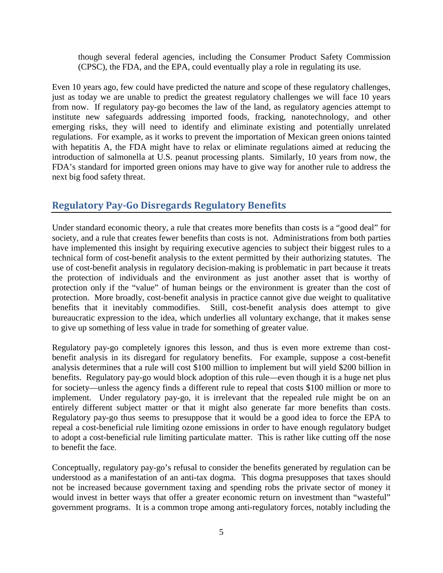though several federal agencies, including the Consumer Product Safety Commission (CPSC), the FDA, and the EPA, could eventually play a role in regulating its use.

Even 10 years ago, few could have predicted the nature and scope of these regulatory challenges, just as today we are unable to predict the greatest regulatory challenges we will face 10 years from now. If regulatory pay-go becomes the law of the land, as regulatory agencies attempt to institute new safeguards addressing imported foods, fracking, nanotechnology, and other emerging risks, they will need to identify and eliminate existing and potentially unrelated regulations. For example, as it works to prevent the importation of Mexican green onions tainted with hepatitis A, the FDA might have to relax or eliminate regulations aimed at reducing the introduction of salmonella at U.S. peanut processing plants. Similarly, 10 years from now, the FDA's standard for imported green onions may have to give way for another rule to address the next big food safety threat.

# **Regulatory Pay-Go Disregards Regulatory Benefits**

Under standard economic theory, a rule that creates more benefits than costs is a "good deal" for society, and a rule that creates fewer benefits than costs is not. Administrations from both parties have implemented this insight by requiring executive agencies to subject their biggest rules to a technical form of cost-benefit analysis to the extent permitted by their authorizing statutes. The use of cost-benefit analysis in regulatory decision-making is problematic in part because it treats the protection of individuals and the environment as just another asset that is worthy of protection only if the "value" of human beings or the environment is greater than the cost of protection. More broadly, cost-benefit analysis in practice cannot give due weight to qualitative benefits that it inevitably commodifies. Still, cost-benefit analysis does attempt to give bureaucratic expression to the idea, which underlies all voluntary exchange, that it makes sense to give up something of less value in trade for something of greater value.

Regulatory pay-go completely ignores this lesson, and thus is even more extreme than costbenefit analysis in its disregard for regulatory benefits. For example, suppose a cost-benefit analysis determines that a rule will cost \$100 million to implement but will yield \$200 billion in benefits. Regulatory pay-go would block adoption of this rule—even though it is a huge net plus for society—unless the agency finds a different rule to repeal that costs \$100 million or more to implement. Under regulatory pay-go, it is irrelevant that the repealed rule might be on an entirely different subject matter or that it might also generate far more benefits than costs. Regulatory pay-go thus seems to presuppose that it would be a good idea to force the EPA to repeal a cost-beneficial rule limiting ozone emissions in order to have enough regulatory budget to adopt a cost-beneficial rule limiting particulate matter. This is rather like cutting off the nose to benefit the face.

Conceptually, regulatory pay-go's refusal to consider the benefits generated by regulation can be understood as a manifestation of an anti-tax dogma. This dogma presupposes that taxes should not be increased because government taxing and spending robs the private sector of money it would invest in better ways that offer a greater economic return on investment than "wasteful" government programs. It is a common trope among anti-regulatory forces, notably including the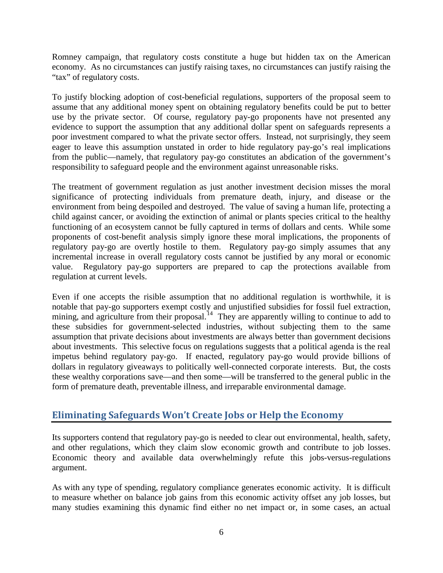Romney campaign, that regulatory costs constitute a huge but hidden tax on the American economy. As no circumstances can justify raising taxes, no circumstances can justify raising the "tax" of regulatory costs.

To justify blocking adoption of cost-beneficial regulations, supporters of the proposal seem to assume that any additional money spent on obtaining regulatory benefits could be put to better use by the private sector. Of course, regulatory pay-go proponents have not presented any evidence to support the assumption that any additional dollar spent on safeguards represents a poor investment compared to what the private sector offers. Instead, not surprisingly, they seem eager to leave this assumption unstated in order to hide regulatory pay-go's real implications from the public—namely, that regulatory pay-go constitutes an abdication of the government's responsibility to safeguard people and the environment against unreasonable risks.

The treatment of government regulation as just another investment decision misses the moral significance of protecting individuals from premature death, injury, and disease or the environment from being despoiled and destroyed. The value of saving a human life, protecting a child against cancer, or avoiding the extinction of animal or plants species critical to the healthy functioning of an ecosystem cannot be fully captured in terms of dollars and cents. While some proponents of cost-benefit analysis simply ignore these moral implications, the proponents of regulatory pay-go are overtly hostile to them. Regulatory pay-go simply assumes that any incremental increase in overall regulatory costs cannot be justified by any moral or economic value. Regulatory pay-go supporters are prepared to cap the protections available from regulation at current levels.

Even if one accepts the risible assumption that no additional regulation is worthwhile, it is notable that pay-go supporters exempt costly and unjustified subsidies for fossil fuel extraction, mining, and agriculture from their proposal.<sup>[14](#page-14-7)</sup> They are apparently willing to continue to add to these subsidies for government-selected industries, without subjecting them to the same assumption that private decisions about investments are always better than government decisions about investments. This selective focus on regulations suggests that a political agenda is the real impetus behind regulatory pay-go. If enacted, regulatory pay-go would provide billions of dollars in regulatory giveaways to politically well-connected corporate interests. But, the costs these wealthy corporations save—and then some—will be transferred to the general public in the form of premature death, preventable illness, and irreparable environmental damage.

# **Eliminating Safeguards Won't Create Jobs or Help the Economy**

Its supporters contend that regulatory pay-go is needed to clear out environmental, health, safety, and other regulations, which they claim slow economic growth and contribute to job losses. Economic theory and available data overwhelmingly refute this jobs-versus-regulations argument.

As with any type of spending, regulatory compliance generates economic activity. It is difficult to measure whether on balance job gains from this economic activity offset any job losses, but many studies examining this dynamic find either no net impact or, in some cases, an actual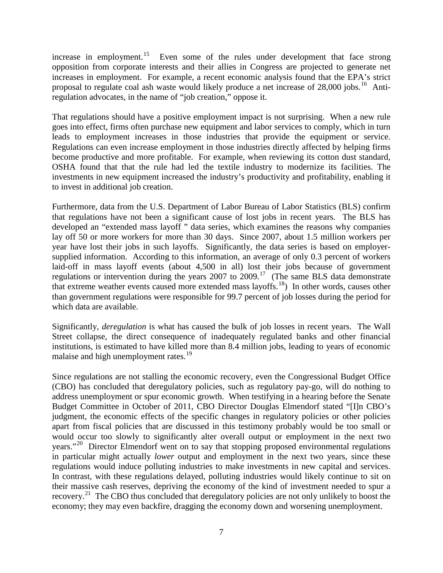increase in employment.<sup>15</sup> Even some of the rules under development that face strong opposition from corporate interests and their allies in Congress are projected to generate net increases in employment. For example, a recent economic analysis found that the EPA's strict proposal to regulate coal ash waste would likely produce a net increase of 28,000 jobs.<sup>[16](#page-14-9)</sup> Antiregulation advocates, in the name of "job creation," oppose it.

That regulations should have a positive employment impact is not surprising. When a new rule goes into effect, firms often purchase new equipment and labor services to comply, which in turn leads to employment increases in those industries that provide the equipment or service. Regulations can even increase employment in those industries directly affected by helping firms become productive and more profitable. For example, when reviewing its cotton dust standard, OSHA found that that the rule had led the textile industry to modernize its facilities. The investments in new equipment increased the industry's productivity and profitability, enabling it to invest in additional job creation.

Furthermore, data from the U.S. Department of Labor Bureau of Labor Statistics (BLS) confirm that regulations have not been a significant cause of lost jobs in recent years. The BLS has developed an "extended mass layoff " data series, which examines the reasons why companies lay off 50 or more workers for more than 30 days. Since 2007, about 1.5 million workers per year have lost their jobs in such layoffs. Significantly, the data series is based on employersupplied information. According to this information, an average of only 0.3 percent of workers laid-off in mass layoff events (about 4,500 in all) lost their jobs because of government regulations or intervention during the years 2007 to 2009.[17](#page-14-10) (The same BLS data demonstrate that extreme weather events caused more extended mass layoffs.[18](#page-14-11)) In other words, causes other than government regulations were responsible for 99.7 percent of job losses during the period for which data are available.

Significantly, *deregulation* is what has caused the bulk of job losses in recent years. The Wall Street collapse, the direct consequence of inadequately regulated banks and other financial institutions, is estimated to have killed more than 8.4 million jobs, leading to years of economic malaise and high unemployment rates.<sup>[19](#page-14-12)</sup>

Since regulations are not stalling the economic recovery, even the Congressional Budget Office (CBO) has concluded that deregulatory policies, such as regulatory pay-go, will do nothing to address unemployment or spur economic growth. When testifying in a hearing before the Senate Budget Committee in October of 2011, CBO Director Douglas Elmendorf stated "[I]n CBO's judgment, the economic effects of the specific changes in regulatory policies or other policies apart from fiscal policies that are discussed in this testimony probably would be too small or would occur too slowly to significantly alter overall output or employment in the next two years."<sup>[20](#page-14-13)</sup> Director Elmendorf went on to say that stopping proposed environmental regulations in particular might actually *lower* output and employment in the next two years, since these regulations would induce polluting industries to make investments in new capital and services. In contrast, with these regulations delayed, polluting industries would likely continue to sit on their massive cash reserves, depriving the economy of the kind of investment needed to spur a recovery.<sup>21</sup> The CBO thus concluded that deregulatory policies are not only unlikely to boost the economy; they may even backfire, dragging the economy down and worsening unemployment.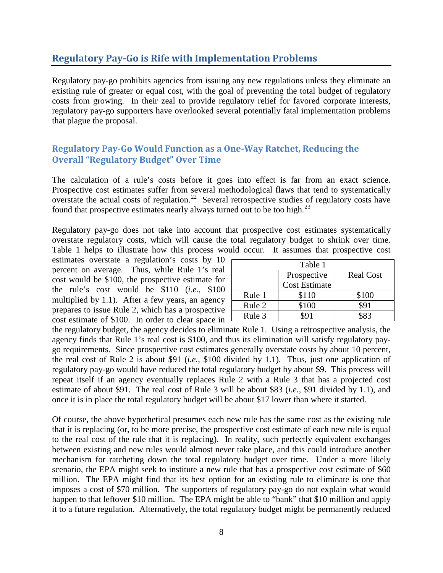# **Regulatory Pay-Go is Rife with Implementation Problems**

Regulatory pay-go prohibits agencies from issuing any new regulations unless they eliminate an existing rule of greater or equal cost, with the goal of preventing the total budget of regulatory costs from growing. In their zeal to provide regulatory relief for favored corporate interests, regulatory pay-go supporters have overlooked several potentially fatal implementation problems that plague the proposal.

#### **Regulatory Pay-Go Would Function as a One-Way Ratchet, Reducing the Overall "Regulatory Budget" Over Time**

The calculation of a rule's costs before it goes into effect is far from an exact science. Prospective cost estimates suffer from several methodological flaws that tend to systematically overstate the actual costs of regulation.<sup>[22](#page-14-15)</sup> Several retrospective studies of regulatory costs have found that prospective estimates nearly always turned out to be too high.<sup>[23](#page-14-16)</sup>

Regulatory pay-go does not take into account that prospective cost estimates systematically overstate regulatory costs, which will cause the total regulatory budget to shrink over time. Table 1 helps to illustrate how this process would occur. It assumes that prospective cost

estimates overstate a regulation's costs by 10 percent on average. Thus, while Rule 1's real cost would be \$100, the prospective estimate for the rule's cost would be \$110 (*i.e.*, \$100 multiplied by 1.1). After a few years, an agency prepares to issue Rule 2, which has a prospective cost estimate of \$100. In order to clear space in

| Table 1 |                      |                  |
|---------|----------------------|------------------|
|         | Prospective          | <b>Real Cost</b> |
|         | <b>Cost Estimate</b> |                  |
| Rule 1  | \$110                | \$100            |
| Rule 2  | \$100                | \$91             |
| Rule 3  |                      | 483              |

the regulatory budget, the agency decides to eliminate Rule 1. Using a retrospective analysis, the agency finds that Rule 1's real cost is \$100, and thus its elimination will satisfy regulatory paygo requirements. Since prospective cost estimates generally overstate costs by about 10 percent, the real cost of Rule 2 is about \$91 (*i.e.*, \$100 divided by 1.1). Thus, just one application of regulatory pay-go would have reduced the total regulatory budget by about \$9. This process will repeat itself if an agency eventually replaces Rule 2 with a Rule 3 that has a projected cost estimate of about \$91. The real cost of Rule 3 will be about \$83 (*i.e.*, \$91 divided by 1.1), and once it is in place the total regulatory budget will be about \$17 lower than where it started.

Of course, the above hypothetical presumes each new rule has the same cost as the existing rule that it is replacing (or, to be more precise, the prospective cost estimate of each new rule is equal to the real cost of the rule that it is replacing). In reality, such perfectly equivalent exchanges between existing and new rules would almost never take place, and this could introduce another mechanism for ratcheting down the total regulatory budget over time. Under a more likely scenario, the EPA might seek to institute a new rule that has a prospective cost estimate of \$60 million. The EPA might find that its best option for an existing rule to eliminate is one that imposes a cost of \$70 million. The supporters of regulatory pay-go do not explain what would happen to that leftover \$10 million. The EPA might be able to "bank" that \$10 million and apply it to a future regulation. Alternatively, the total regulatory budget might be permanently reduced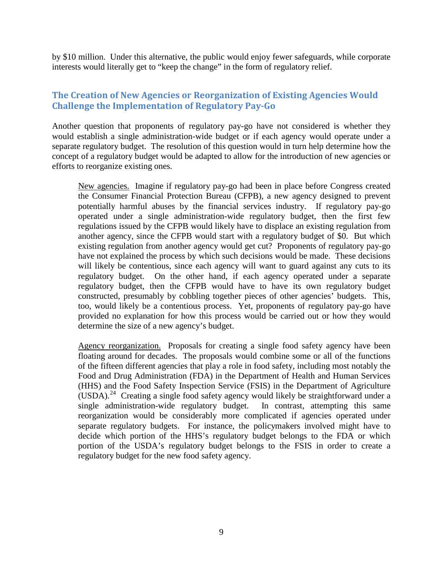by \$10 million. Under this alternative, the public would enjoy fewer safeguards, while corporate interests would literally get to "keep the change" in the form of regulatory relief.

#### **The Creation of New Agencies or Reorganization of Existing Agencies Would Challenge the Implementation of Regulatory Pay-Go**

Another question that proponents of regulatory pay-go have not considered is whether they would establish a single administration-wide budget or if each agency would operate under a separate regulatory budget. The resolution of this question would in turn help determine how the concept of a regulatory budget would be adapted to allow for the introduction of new agencies or efforts to reorganize existing ones.

New agencies. Imagine if regulatory pay-go had been in place before Congress created the Consumer Financial Protection Bureau (CFPB), a new agency designed to prevent potentially harmful abuses by the financial services industry. If regulatory pay-go operated under a single administration-wide regulatory budget, then the first few regulations issued by the CFPB would likely have to displace an existing regulation from another agency, since the CFPB would start with a regulatory budget of \$0. But which existing regulation from another agency would get cut? Proponents of regulatory pay-go have not explained the process by which such decisions would be made. These decisions will likely be contentious, since each agency will want to guard against any cuts to its regulatory budget. On the other hand, if each agency operated under a separate regulatory budget, then the CFPB would have to have its own regulatory budget constructed, presumably by cobbling together pieces of other agencies' budgets. This, too, would likely be a contentious process. Yet, proponents of regulatory pay-go have provided no explanation for how this process would be carried out or how they would determine the size of a new agency's budget.

Agency reorganization. Proposals for creating a single food safety agency have been floating around for decades. The proposals would combine some or all of the functions of the fifteen different agencies that play a role in food safety, including most notably the Food and Drug Administration (FDA) in the Department of Health and Human Services (HHS) and the Food Safety Inspection Service (FSIS) in the Department of Agriculture (USDA).[24](#page-14-17) Creating a single food safety agency would likely be straightforward under a single administration-wide regulatory budget. In contrast, attempting this same reorganization would be considerably more complicated if agencies operated under separate regulatory budgets. For instance, the policymakers involved might have to decide which portion of the HHS's regulatory budget belongs to the FDA or which portion of the USDA's regulatory budget belongs to the FSIS in order to create a regulatory budget for the new food safety agency.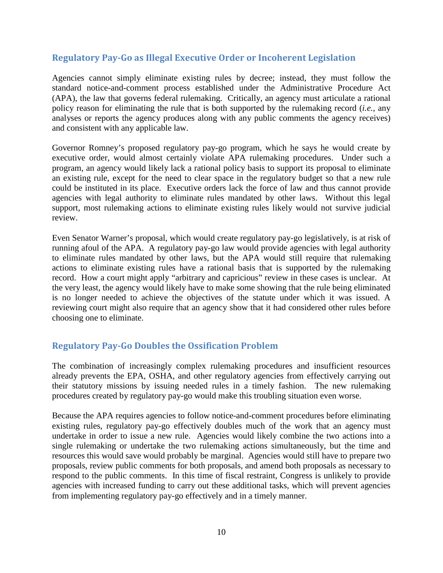#### **Regulatory Pay-Go as Illegal Executive Order or Incoherent Legislation**

Agencies cannot simply eliminate existing rules by decree; instead, they must follow the standard notice-and-comment process established under the Administrative Procedure Act (APA), the law that governs federal rulemaking. Critically, an agency must articulate a rational policy reason for eliminating the rule that is both supported by the rulemaking record (*i.e.*, any analyses or reports the agency produces along with any public comments the agency receives) and consistent with any applicable law.

Governor Romney's proposed regulatory pay-go program, which he says he would create by executive order, would almost certainly violate APA rulemaking procedures. Under such a program, an agency would likely lack a rational policy basis to support its proposal to eliminate an existing rule, except for the need to clear space in the regulatory budget so that a new rule could be instituted in its place. Executive orders lack the force of law and thus cannot provide agencies with legal authority to eliminate rules mandated by other laws. Without this legal support, most rulemaking actions to eliminate existing rules likely would not survive judicial review.

Even Senator Warner's proposal, which would create regulatory pay-go legislatively, is at risk of running afoul of the APA. A regulatory pay-go law would provide agencies with legal authority to eliminate rules mandated by other laws, but the APA would still require that rulemaking actions to eliminate existing rules have a rational basis that is supported by the rulemaking record. How a court might apply "arbitrary and capricious" review in these cases is unclear. At the very least, the agency would likely have to make some showing that the rule being eliminated is no longer needed to achieve the objectives of the statute under which it was issued. A reviewing court might also require that an agency show that it had considered other rules before choosing one to eliminate.

#### **Regulatory Pay-Go Doubles the Ossification Problem**

The combination of increasingly complex rulemaking procedures and insufficient resources already prevents the EPA, OSHA, and other regulatory agencies from effectively carrying out their statutory missions by issuing needed rules in a timely fashion. The new rulemaking procedures created by regulatory pay-go would make this troubling situation even worse.

Because the APA requires agencies to follow notice-and-comment procedures before eliminating existing rules, regulatory pay-go effectively doubles much of the work that an agency must undertake in order to issue a new rule. Agencies would likely combine the two actions into a single rulemaking or undertake the two rulemaking actions simultaneously, but the time and resources this would save would probably be marginal. Agencies would still have to prepare two proposals, review public comments for both proposals, and amend both proposals as necessary to respond to the public comments. In this time of fiscal restraint, Congress is unlikely to provide agencies with increased funding to carry out these additional tasks, which will prevent agencies from implementing regulatory pay-go effectively and in a timely manner.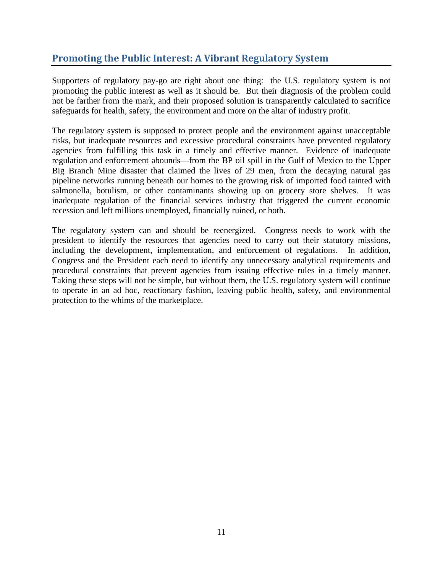# **Promoting the Public Interest: A Vibrant Regulatory System**

Supporters of regulatory pay-go are right about one thing: the U.S. regulatory system is not promoting the public interest as well as it should be. But their diagnosis of the problem could not be farther from the mark, and their proposed solution is transparently calculated to sacrifice safeguards for health, safety, the environment and more on the altar of industry profit.

The regulatory system is supposed to protect people and the environment against unacceptable risks, but inadequate resources and excessive procedural constraints have prevented regulatory agencies from fulfilling this task in a timely and effective manner. Evidence of inadequate regulation and enforcement abounds—from the BP oil spill in the Gulf of Mexico to the Upper Big Branch Mine disaster that claimed the lives of 29 men, from the decaying natural gas pipeline networks running beneath our homes to the growing risk of imported food tainted with salmonella, botulism, or other contaminants showing up on grocery store shelves. It was inadequate regulation of the financial services industry that triggered the current economic recession and left millions unemployed, financially ruined, or both.

The regulatory system can and should be reenergized. Congress needs to work with the president to identify the resources that agencies need to carry out their statutory missions, including the development, implementation, and enforcement of regulations. In addition, Congress and the President each need to identify any unnecessary analytical requirements and procedural constraints that prevent agencies from issuing effective rules in a timely manner. Taking these steps will not be simple, but without them, the U.S. regulatory system will continue to operate in an ad hoc, reactionary fashion, leaving public health, safety, and environmental protection to the whims of the marketplace.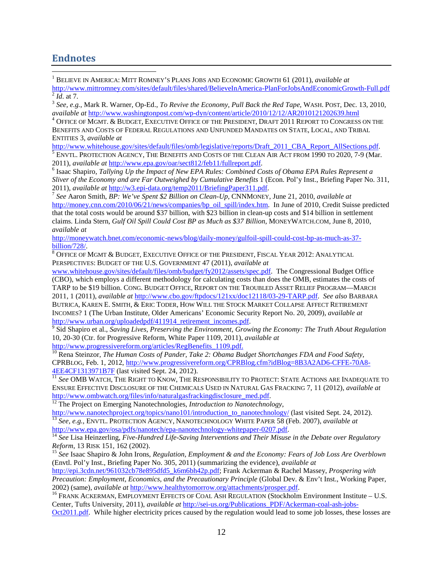#### **Endnotes**

 1 BELIEVE IN AMERICA: MITT ROMNEY'S PLANS JOBS AND ECONOMIC GROWTH 61 (2011), *available at*  $\frac{\text{http://www.mittromney.com/sites/default/files/shared/BelieveInAmerica-PlanForJobsAndEconomic Growth-Full.pdf}}{^{2} Id. \text{ at 7.}}$   $^{3} See, e.g., \text{Mark R. Warner, Op-Ed., To Review the Economy, Pull Back the Red Tape, WASH. POST, Dec. 13, 2010, available at \text{http://www.washingtonpost.com/wp-dyn/content/article/2010/12/12/AR2010121202639.html}}$ 

 $^4$  Office of Mgmt. & Budget, Executive Office of the President, Draft 2011 Report to Congress on the BENEFITS AND COSTS OF FEDERAL REGULATIONS AND UNFUNDED MANDATES ON STATE, LOCAL, AND TRIBAL ENTITIES 3, *available at*

[http://www.whitehouse.gov/sites/default/files/omb/legislative/reports/Draft\\_2011\\_CBA\\_Report\\_AllSections.pdf.](http://www.whitehouse.gov/sites/default/files/omb/legislative/reports/Draft_2011_CBA_Report_AllSections.pdf) 5<br><sup>5</sup> ENVTL. PROTECTION AGENCY, THE BENEFITS AND COSTS OF THE CLEAN AIR ACT FROM 1990 TO 2020, 7-9 (Mar.

2011), *available at* [http://www.epa.gov/oar/sect812/feb11/fullreport.pdf.](http://www.epa.gov/oar/sect812/feb11/fullreport.pdf)<br><sup>6</sup> Isaac Shapiro, *Tallying Up the Impact of New EPA Rules: Combined Costs of Obama EPA Rules Represent a Sliver of the Economy and are Far Outweighed by Cumulative Benefits* 1 (Econ. Pol'y Inst., Briefing Paper No. 311, 2011), *available at* [http://w3.epi-data.org/temp2011/BriefingPaper311.pdf.](http://w3.epi-data.org/temp2011/BriefingPaper311.pdf) <sup>7</sup> *See* Aaron Smith, *BP: We've Spent \$2 Billion on Clean-Up*, CNNMONEY, June 21, 2010, *available at* 

[http://money.cnn.com/2010/06/21/news/companies/bp\\_oil\\_spill/index.htm.](http://money.cnn.com/2010/06/21/news/companies/bp_oil_spill/index.htm) In June of 2010, Credit Suisse predicted that the total costs would be around \$37 billion, with \$23 billion in clean-up costs and \$14 billion in settlement claims. Linda Stern, *Gulf Oil Spill Could Cost BP as Much as \$37 Billion*, MONEYWATCH.COM, June 8, 2010, *available at*

[http://moneywatch.bnet.com/economic-news/blog/daily-money/gulfoil-spill-could-cost-bp-as-much-as-37](http://moneywatch.bnet.com/economic-news/blog/daily-money/gulfoil-spill-could-cost-bp-as-much-as-37-billion/728/) [billion/728/.](http://moneywatch.bnet.com/economic-news/blog/daily-money/gulfoil-spill-could-cost-bp-as-much-as-37-billion/728/)<br><sup>8</sup> Office of Mgmt & Budget, Executive Office of the President, Fiscal Year 2012: Analytical

PERSPECTIVES: BUDGET OF THE U.S. GOVERNMENT 47 (2011), *available at*

[www.whitehouse.gov/sites/default/files/omb/budget/fy2012/assets/spec.pdf.](http://www.whitehouse.gov/sites/default/files/omb/budget/fy2012/assets/spec.pdf) The Congressional Budget Office (CBO), which employs a different methodology for calculating costs than does the OMB, estimates the costs of TARP to be \$19 billion. CONG. BUDGET OFFICE, REPORT ON THE TROUBLED ASSET RELIEF PROGRAM—MARCH 2011, 1 (2011), *available at* [http://www.cbo.gov/ftpdocs/121xx/doc12118/03-29-TARP.pdf.](http://www.cbo.gov/ftpdocs/121xx/doc12118/03-29-TARP.pdf) *See also* BARBARA BUTRICA, KAREN E. SMITH, & ERIC TODER, HOW WILL THE STOCK MARKET COLLAPSE AFFECT RETIREMENT INCOMES? 1 (The Urban Institute, Older Americans' Economic Security Report No. 20, 2009), *available at*

 $\frac{1}{9}$  Sid Shapiro et al., *Saving Lives, Preserving the Environment, Growing the Economy: The Truth About Regulation* 10, 20-30 (Ctr. for Progressive Reform, White Paper 1109, 2011), *available at*

[http://www.progressivereform.org/articles/RegBenefits\\_1109.pdf.](http://www.progressivereform.org/articles/RegBenefits_1109.pdf)<br><sup>10</sup> Rena Steinzor, *The Human Costs of Pander, Take 2: Obama Budget Shortchanges FDA and Food Safety*, CPRBLOG, Feb. 1, 2012, [http://www.progressivereform.org/CPRBlog.cfm?idBlog=8B3A2AD6-CFFE-70A8-](http://www.progressivereform.org/CPRBlog.cfm?idBlog=8B3A2AD6-CFFE-70A8-4EE4CF1313971B7F) [4EE4CF1313971B7F](http://www.progressivereform.org/CPRBlog.cfm?idBlog=8B3A2AD6-CFFE-70A8-4EE4CF1313971B7F) (last visited Sept. 24, 2012). <sup>11</sup> *See* OMB WATCH, THE RIGHT TO KNOW, THE RESPONSIBILITY TO PROTECT: STATE ACTIONS ARE INADEQUATE TO

ENSURE EFFECTIVE DISCLOSURE OF THE CHEMICALS USED IN NATURAL GAS FRACKING 7, 11 (2012), *available at*

<sup>12</sup> The Project on Emerging Nanotechnologies, *Introduction to Nanotechnology*,<br>http://www.nanotechproject.org/topics/nano101/introduction to nanotechnology/ (last visited Sept. 24, 2012). <sup>13</sup> See, e.g., ENVTL. PROTECTION AGENCY, NANOTECHNOLOGY WHITE PAPER 58 (Feb. 2007), *available at* http://www.epa.gov/osa/pdfs/nanotech/epa-nanotechnology-whitepaper-0207.pdf.

<sup>14</sup> See Lisa Heinzerling, *Five-Hundred Life-Saving Interventions and Their Misuse in the Debate over Regulatory Reform, 13 RISK 151, 162 (2002).* 

<sup>15</sup> See Isaac Shapiro & John Irons, *Regulation, Employment & and the Economy: Fears of Job Loss Are Overblown* (Envtl. Pol'y Inst., Briefing Paper No. 305, 2011) (summarizing the evidence), *available at*

[http://epi.3cdn.net/961032cb78e895dfd5\\_k6m6bh42p.pdf;](http://epi.3cdn.net/961032cb78e895dfd5_k6m6bh42p.pdf) Frank Ackerman & Rachel Massey, *Prospering with Precaution: Employment, Economics, and the Precautionary Principle* (Global Dev. & Env't Inst., Working Paper,

2002) (same), *available at* [http://www.healthytomorrow.org/attachments/prosper.pdf.](http://www.healthytomorrow.org/attachments/prosper.pdf) <sup>16</sup> FRANK ACKERMAN, EMPLOYMENT EFFECTS OF COAL ASH REGULATION (Stockholm Environment Institute – U.S. Center, Tufts University, 2011), *available at* [http://sei-us.org/Publications\\_PDF/Ackerman-coal-ash-jobs-](http://sei-us.org/Publications_PDF/Ackerman-coal-ash-jobs-Oct2011.pdf)

[Oct2011.pdf.](http://sei-us.org/Publications_PDF/Ackerman-coal-ash-jobs-Oct2011.pdf) While higher electricity prices caused by the regulation would lead to some job losses, these losses are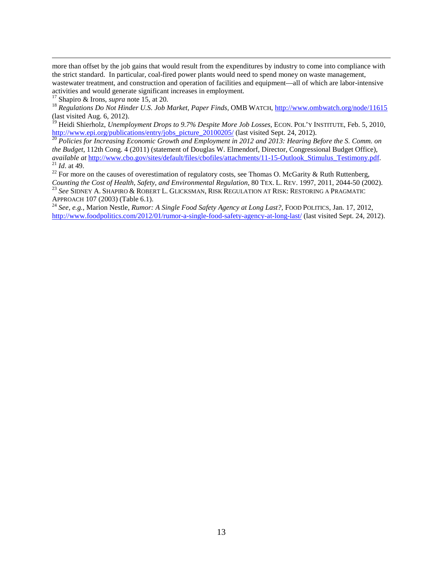<span id="page-13-0"></span> more than offset by the job gains that would result from the expenditures by industry to come into compliance with the strict standard. In particular, coal-fired power plants would need to spend money on waste management, wastewater treatment, and construction and operation of facilities and equipment—all of which are labor-intensive activities and would generate significant increases in employment.

<span id="page-13-2"></span><span id="page-13-1"></span><sup>17</sup> Shapiro & Irons, *supra* note 15, at 20.<br><sup>18</sup> Regulations Do Not Hinder U.S. Job Market, Paper Finds, OMB WATCH,<http://www.ombwatch.org/node/11615> (last visited Aug. 6, 2012).

<span id="page-13-3"></span><sup>19</sup> Heidi Shierholz, *Unemployment Drops to 9.7% Despite More Job Losses*, ECON. POL'Y INSTITUTE, Feb. 5, 2010, [http://www.epi.org/publications/entry/jobs\\_picture\\_20100205/](http://www.epi.org/publications/entry/jobs_picture_20100205/) (last visited Sept. 24, 2012).<br><sup>20</sup> *Policies for Increasing Economic Growth and Employment in 2012 and 2013: Hearing Before the S. Comm. on* 

<span id="page-13-4"></span>*the Budget*, 112th Cong. 4 (2011) (statement of Douglas W. Elmendorf, Director, Congressional Budget Office), available at [http://www.cbo.gov/sites/default/files/cbofiles/attachments/11-15-Outlook\\_Stimulus\\_Testimony.pdf.](http://www.cbo.gov/sites/default/files/cbofiles/attachments/11-15-Outlook_Stimulus_Testimony.pdf)<br><sup>21</sup> Id. at 49.<br><sup>22</sup> For more on the causes of overestimation of regulatory costs, see Thomas O. McGarity & Rut

<span id="page-13-5"></span>*Counting the Cost of Health, Safety, and Environmental Regulation, 80 TEX. L. REV. 1997, 2011, 2044-50 (2002).*<br><sup>23</sup> *See* SIDNEY A. SHAPIRO & ROBERT L. GLICKSMAN, RISK REGULATION AT RISK: RESTORING A PRAGMATIC APPROACH 1

<sup>24</sup> See, e.g., Marion Nestle, *Rumor: A Single Food Safety Agency at Long Last?*, FOOD POLITICS, Jan. 17, 2012, <http://www.foodpolitics.com/2012/01/rumor-a-single-food-safety-agency-at-long-last/> (last visited Sept. 24, 2012).